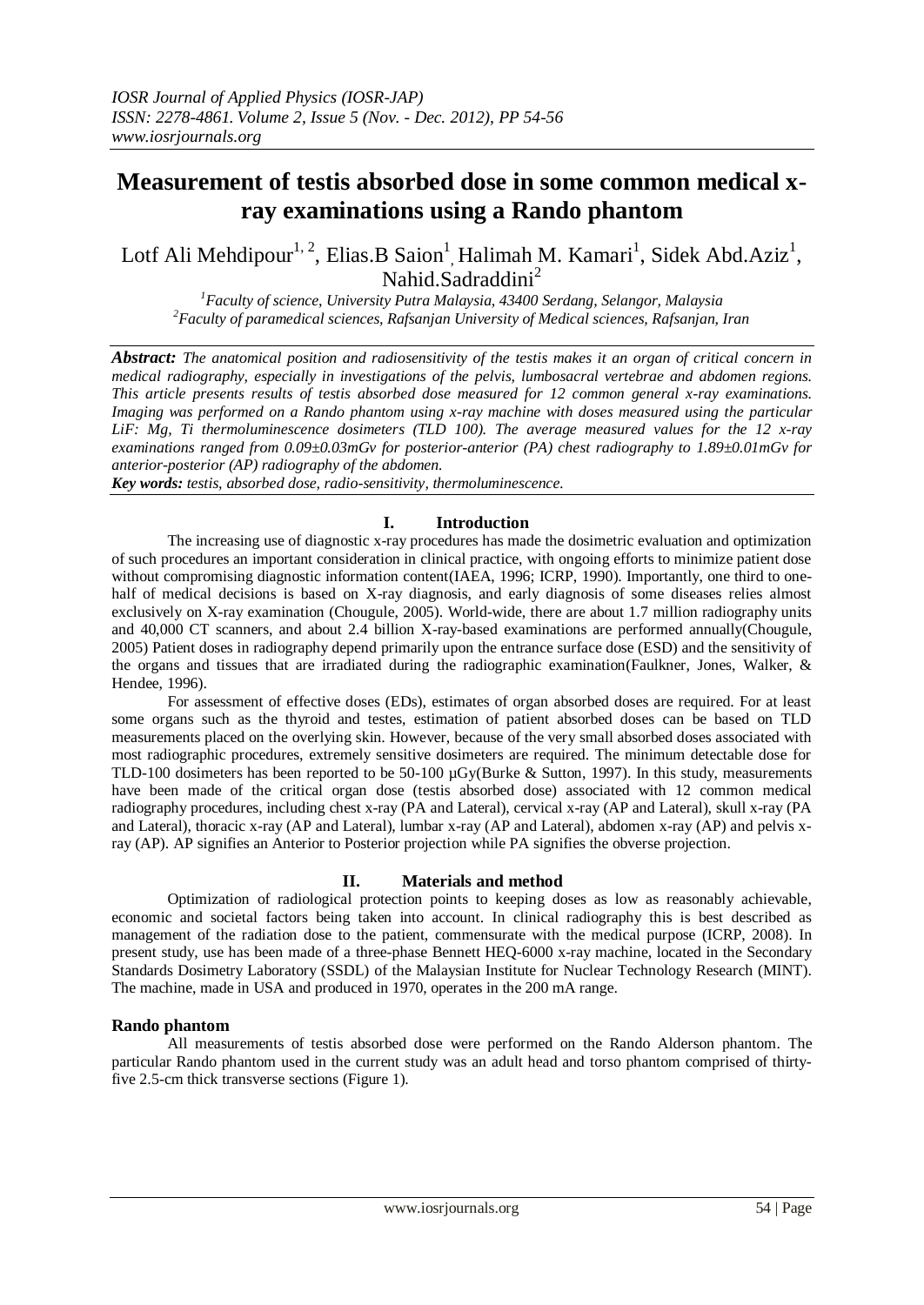# **Measurement of testis absorbed dose in some common medical xray examinations using a Rando phantom**

Lotf Ali Mehdipour<sup>1, 2</sup>, Elias.B Saion<sup>1</sup>, Halimah M. Kamari<sup>1</sup>, Sidek Abd.Aziz<sup>1</sup>, Nahid.Sadraddini<sup>2</sup>

*<sup>1</sup>Faculty of science, University Putra Malaysia, 43400 Serdang, Selangor, Malaysia <sup>2</sup>Faculty of paramedical sciences, Rafsanjan University of Medical sciences, Rafsanjan, Iran*

*Abstract: The anatomical position and radiosensitivity of the testis makes it an organ of critical concern in medical radiography, especially in investigations of the pelvis, lumbosacral vertebrae and abdomen regions. This article presents results of testis absorbed dose measured for 12 common general x-ray examinations. Imaging was performed on a Rando phantom using x-ray machine with doses measured using the particular LiF: Mg, Ti thermoluminescence dosimeters (TLD 100). The average measured values for the 12 x-ray examinations ranged from 0.09±0.03mGv for posterior-anterior (PA) chest radiography to 1.89±0.01mGv for anterior-posterior (AP) radiography of the abdomen.*

*Key words: testis, absorbed dose, radio-sensitivity, thermoluminescence.*

### **I. Introduction**

The increasing use of diagnostic x-ray procedures has made the dosimetric evaluation and optimization of such procedures an important consideration in clinical practice, with ongoing efforts to minimize patient dose without compromising diagnostic information content[\(IAEA, 1996;](#page-2-0) [ICRP, 1990\)](#page-2-1). Importantly, one third to onehalf of medical decisions is based on X-ray diagnosis, and early diagnosis of some diseases relies almost exclusively on X-ray examination [\(Chougule, 2005\)](#page-2-2). World-wide, there are about 1.7 million radiography units and 40,000 CT scanners, and about 2.4 billion X-ray-based examinations are performed annually[\(Chougule,](#page-2-2)  [2005\)](#page-2-2) Patient doses in radiography depend primarily upon the entrance surface dose (ESD) and the sensitivity of the organs and tissues that are irradiated during the radiographic examination[\(Faulkner, Jones, Walker, &](#page-2-3)  [Hendee, 1996\)](#page-2-3).

For assessment of effective doses (EDs), estimates of organ absorbed doses are required. For at least some organs such as the thyroid and testes, estimation of patient absorbed doses can be based on TLD measurements placed on the overlying skin. However, because of the very small absorbed doses associated with most radiographic procedures, extremely sensitive dosimeters are required. The minimum detectable dose for TLD-100 dosimeters has been reported to be 50-100 µGy[\(Burke & Sutton, 1997\)](#page-2-4). In this study, measurements have been made of the critical organ dose (testis absorbed dose) associated with 12 common medical radiography procedures, including chest x-ray (PA and Lateral), cervical x-ray (AP and Lateral), skull x-ray (PA and Lateral), thoracic x-ray (AP and Lateral), lumbar x-ray (AP and Lateral), abdomen x-ray (AP) and pelvis xray (AP). AP signifies an Anterior to Posterior projection while PA signifies the obverse projection.

## **II. Materials and method**

Optimization of radiological protection points to keeping doses as low as reasonably achievable, economic and societal factors being taken into account. In clinical radiography this is best described as management of the radiation dose to the patient, commensurate with the medical purpose [\(ICRP, 2008\)](#page-2-5). In present study, use has been made of a three-phase Bennett HEQ-6000 x-ray machine, located in the Secondary Standards Dosimetry Laboratory (SSDL) of the Malaysian Institute for Nuclear Technology Research (MINT). The machine, made in USA and produced in 1970, operates in the 200 mA range.

#### **Rando phantom**

All measurements of testis absorbed dose were performed on the Rando Alderson phantom. The particular Rando phantom used in the current study was an adult head and torso phantom comprised of thirtyfive 2.5-cm thick transverse sections (Figure 1).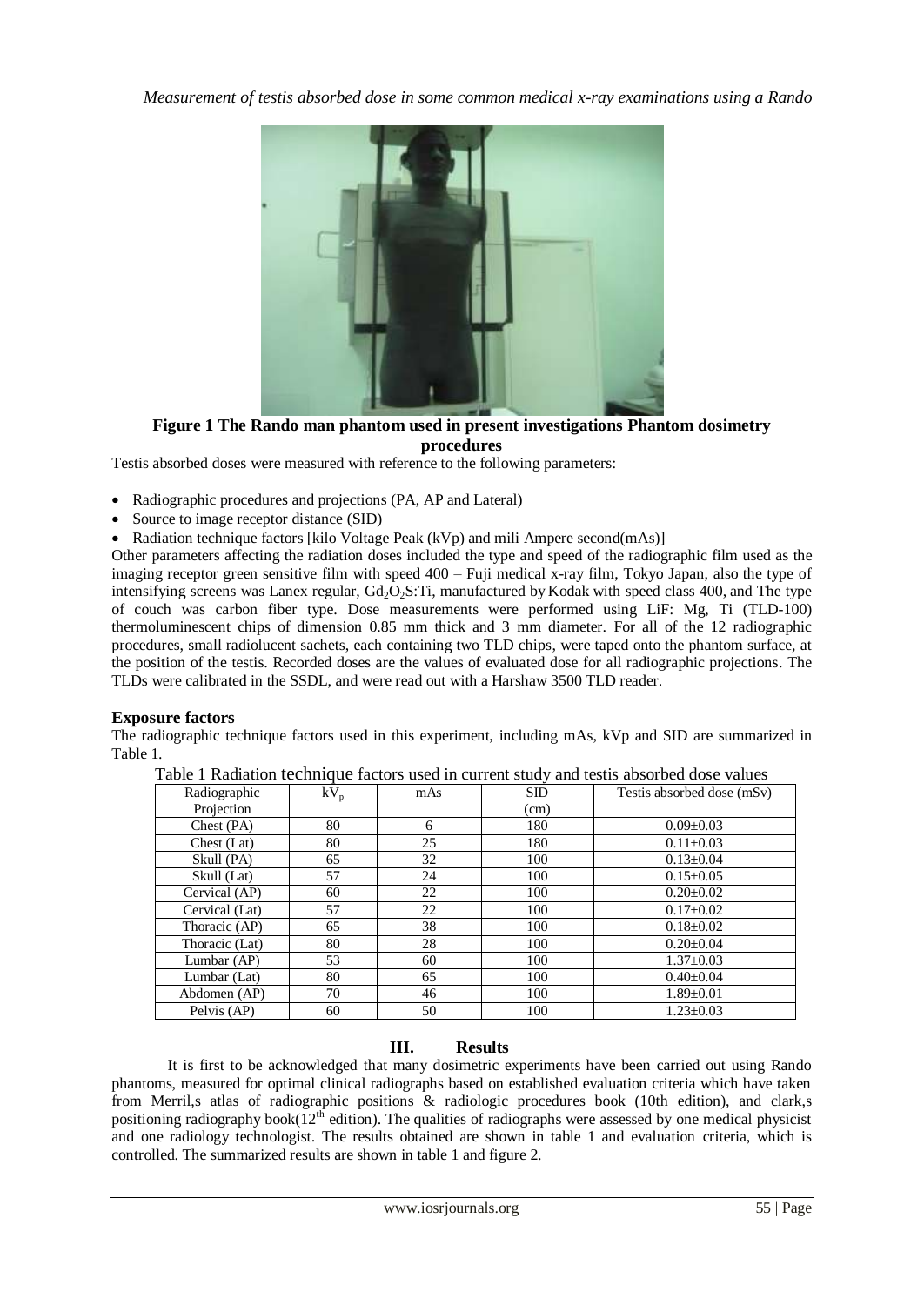

**Figure 1 The Rando man phantom used in present investigations Phantom dosimetry procedures**

Testis absorbed doses were measured with reference to the following parameters:

- Radiographic procedures and projections (PA, AP and Lateral)
- Source to image receptor distance (SID)
- Radiation technique factors [kilo Voltage Peak (kVp) and mili Ampere second(mAs)]

Other parameters affecting the radiation doses included the type and speed of the radiographic film used as the imaging receptor green sensitive film with speed 400 – Fuji medical x-ray film, Tokyo Japan, also the type of intensifying screens was Lanex regular,  $Gd_2O_2S$ : Ti, manufactured by Kodak with speed class 400, and The type of couch was carbon fiber type. Dose measurements were performed using LiF: Mg, Ti (TLD-100) thermoluminescent chips of dimension 0.85 mm thick and 3 mm diameter. For all of the 12 radiographic procedures, small radiolucent sachets, each containing two TLD chips, were taped onto the phantom surface, at the position of the testis. Recorded doses are the values of evaluated dose for all radiographic projections. The TLDs were calibrated in the SSDL, and were read out with a Harshaw 3500 TLD reader.

## **Exposure factors**

The radiographic technique factors used in this experiment, including mAs, kVp and SID are summarized in Table 1.

| Table 1 Radiation technique factors used in current study and testis absorbed dose values |  |
|-------------------------------------------------------------------------------------------|--|
|-------------------------------------------------------------------------------------------|--|

| Radiographic   | $kV_p$ | mAs | SD   | Testis absorbed dose (mSv) |  |  |
|----------------|--------|-----|------|----------------------------|--|--|
| Projection     |        |     | (cm) |                            |  |  |
| Check (PA)     | 80     | 6   | 180  | $0.09 \pm 0.03$            |  |  |
| Chest (Lat)    | 80     | 25  | 180  | $0.11 \pm 0.03$            |  |  |
| Skull (PA)     | 65     | 32  | 100  | $0.13 \pm 0.04$            |  |  |
| Skull (Lat)    | 57     | 24  | 100  | $0.15 \pm 0.05$            |  |  |
| Cervical (AP)  | 60     | 22  | 100  | $0.20 \pm 0.02$            |  |  |
| Cervical (Lat) | 57     | 22  | 100  | $0.17 \pm 0.02$            |  |  |
| Thoracic (AP)  | 65     | 38  | 100  | $0.18 \pm 0.02$            |  |  |
| Thoracic (Lat) | 80     | 28  | 100  | $0.20 + 0.04$              |  |  |
| Lumbar (AP)    | 53     | 60  | 100  | $1.37 \pm 0.03$            |  |  |
| Lumbar (Lat)   | 80     | 65  | 100  | $0.40 \pm 0.04$            |  |  |
| Abdomen (AP)   | 70     | 46  | 100  | $1.89 \pm 0.01$            |  |  |
| Pelvis (AP)    | 60     | 50  | 100  | $1.23 \pm 0.03$            |  |  |

## **III. Results**

It is first to be acknowledged that many dosimetric experiments have been carried out using Rando phantoms, measured for optimal clinical radiographs based on established evaluation criteria which have taken from Merril,s atlas of radiographic positions & radiologic procedures book (10th edition), and clark,s positioning radiography book( $12<sup>th</sup>$  edition). The qualities of radiographs were assessed by one medical physicist and one radiology technologist. The results obtained are shown in table 1 and evaluation criteria, which is controlled. The summarized results are shown in table 1 and figure 2.